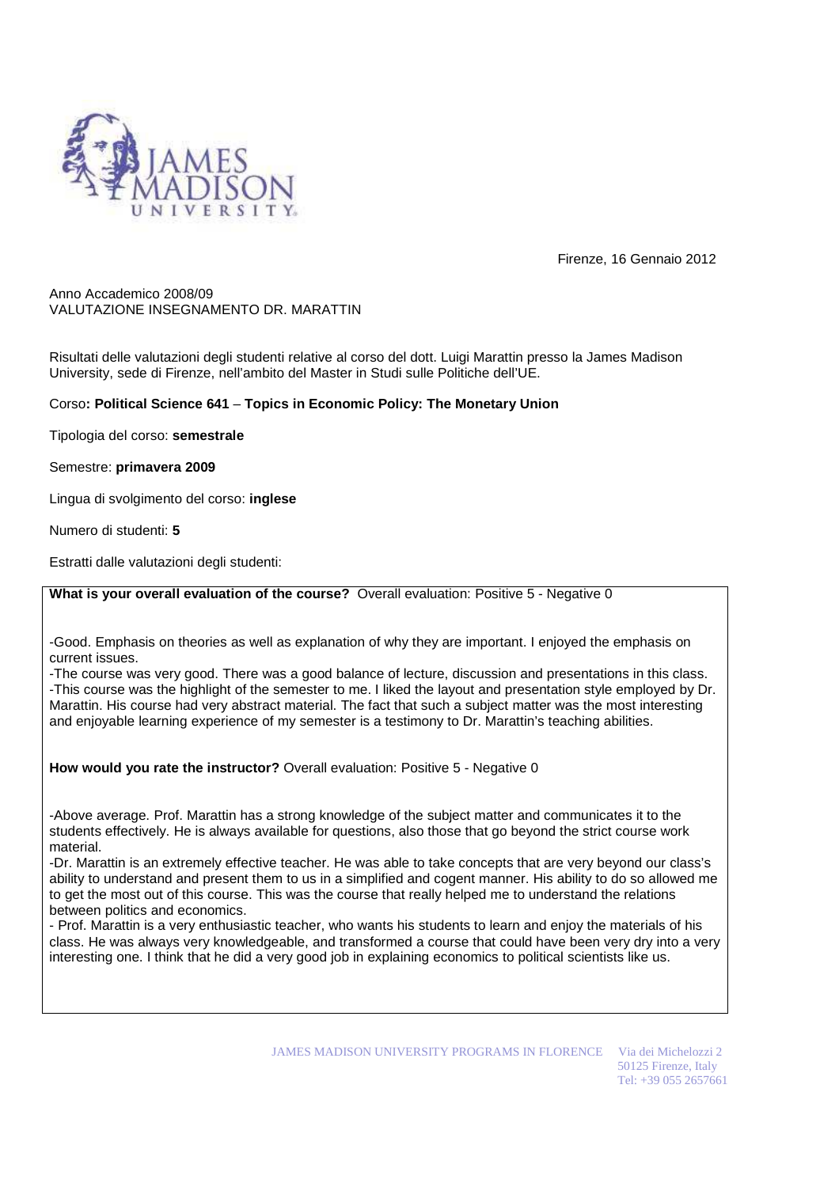

Firenze, 16 Gennaio 2012

Anno Accademico 2008/09 VALUTAZIONE INSEGNAMENTO DR. MARATTIN

Risultati delle valutazioni degli studenti relative al corso del dott. Luigi Marattin presso la James Madison University, sede di Firenze, nell'ambito del Master in Studi sulle Politiche dell'UE.

## Corso**: Political Science 641** – **Topics in Economic Policy: The Monetary Union**

Tipologia del corso: **semestrale** 

Semestre: **primavera 2009** 

Lingua di svolgimento del corso: **inglese** 

Numero di studenti: **5** 

Estratti dalle valutazioni degli studenti:

**What is your overall evaluation of the course?** Overall evaluation: Positive 5 - Negative 0

-Good. Emphasis on theories as well as explanation of why they are important. I enjoyed the emphasis on current issues.

-The course was very good. There was a good balance of lecture, discussion and presentations in this class. -This course was the highlight of the semester to me. I liked the layout and presentation style employed by Dr. Marattin. His course had very abstract material. The fact that such a subject matter was the most interesting and enjoyable learning experience of my semester is a testimony to Dr. Marattin's teaching abilities.

**How would you rate the instructor?** Overall evaluation: Positive 5 - Negative 0

-Above average. Prof. Marattin has a strong knowledge of the subject matter and communicates it to the students effectively. He is always available for questions, also those that go beyond the strict course work material.

-Dr. Marattin is an extremely effective teacher. He was able to take concepts that are very beyond our class's ability to understand and present them to us in a simplified and cogent manner. His ability to do so allowed me to get the most out of this course. This was the course that really helped me to understand the relations between politics and economics.

- Prof. Marattin is a very enthusiastic teacher, who wants his students to learn and enjoy the materials of his class. He was always very knowledgeable, and transformed a course that could have been very dry into a very interesting one. I think that he did a very good job in explaining economics to political scientists like us.

JAMES MADISON UNIVERSITY PROGRAMS IN FLORENCE Via dei Michelozzi 2

50125 Firenze, Italy Tel: +39 055 2657661